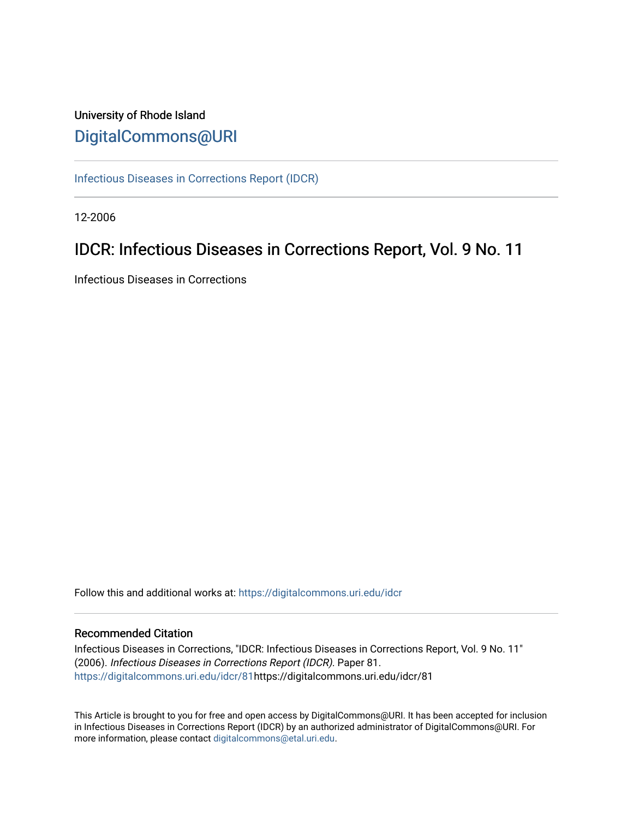# University of Rhode Island [DigitalCommons@URI](https://digitalcommons.uri.edu/)

[Infectious Diseases in Corrections Report \(IDCR\)](https://digitalcommons.uri.edu/idcr)

12-2006

# IDCR: Infectious Diseases in Corrections Report, Vol. 9 No. 11

Infectious Diseases in Corrections

Follow this and additional works at: [https://digitalcommons.uri.edu/idcr](https://digitalcommons.uri.edu/idcr?utm_source=digitalcommons.uri.edu%2Fidcr%2F81&utm_medium=PDF&utm_campaign=PDFCoverPages)

### Recommended Citation

Infectious Diseases in Corrections, "IDCR: Infectious Diseases in Corrections Report, Vol. 9 No. 11" (2006). Infectious Diseases in Corrections Report (IDCR). Paper 81. [https://digitalcommons.uri.edu/idcr/81h](https://digitalcommons.uri.edu/idcr/81?utm_source=digitalcommons.uri.edu%2Fidcr%2F81&utm_medium=PDF&utm_campaign=PDFCoverPages)ttps://digitalcommons.uri.edu/idcr/81

This Article is brought to you for free and open access by DigitalCommons@URI. It has been accepted for inclusion in Infectious Diseases in Corrections Report (IDCR) by an authorized administrator of DigitalCommons@URI. For more information, please contact [digitalcommons@etal.uri.edu.](mailto:digitalcommons@etal.uri.edu)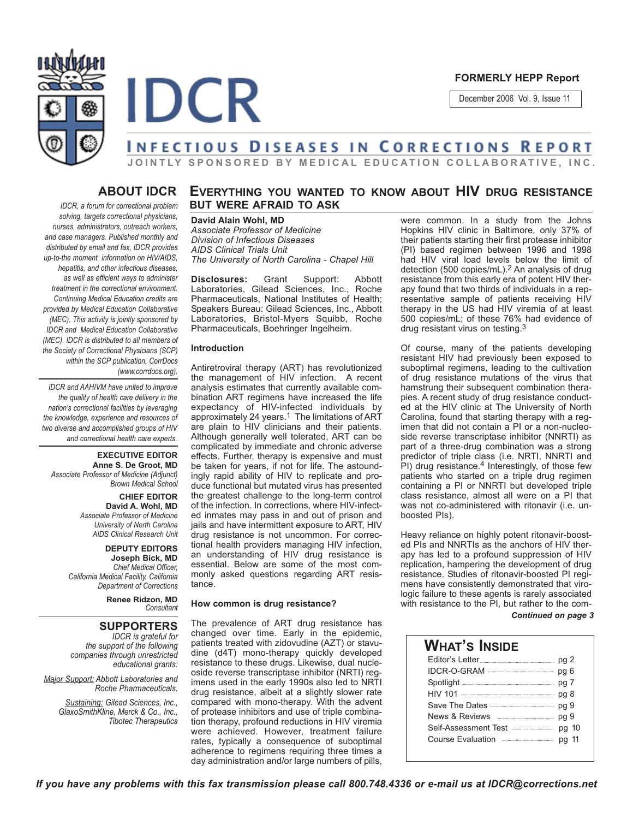



#### **FORMERLY HEPP Report**

December 2006 Vol. 9, Issue 11

# **JOINTLY SPONSORED BY MEDICAL EDUCATION COLLABORATIVE, INC.**

# **ABOUT IDCR**

*IDCR, a forum for correctional problem solving, targets correctional physicians, nurses, administrators, outreach workers, and case managers. Published monthly and distributed by email and fax, IDCR provides up-to-the moment information on HIV/AIDS, hepatitis, and other infectious diseases, as well as efficient ways to administer treatment in the correctional environment. Continuing Medical Education credits are provided by Medical Education Collaborative (MEC). This activity is jointly sponsored by IDCR and Medical Education Collaborative (MEC). IDCR is distributed to all members of the Society of Correctional Physicians (SCP) within the SCP publication, CorrDocs (www.corrdocs.org).*

*IDCR and AAHIVM have united to improve the quality of health care delivery in the nation's correctional facilities by leveraging the knowledge, experience and resources of two diverse and accomplished groups of HIV and correctional health care experts.* 

**EXECUTIVE EDITOR Anne S. De Groot, MD** *Associate Professor of Medicine (Adjunct) Brown Medical School*

> **CHIEF EDITOR David A. Wohl, MD** *Associate Professor of Medicine University of North Carolina AIDS Clinical Research Unit*

**DEPUTY EDITORS Joseph Bick, MD** *Chief Medical Officer, California Medical Facility, California Department of Corrections*

> **Renee Ridzon, MD** *Consultant*

### **SUPPORTERS**

*IDCR is grateful for the support of the following companies through unrestricted educational grants:*

*Major Support: Abbott Laboratories and Roche Pharmaceuticals.* 

*Sustaining: Gilead Sciences, Inc., GlaxoSmithKline, Merck & Co., Inc., Tibotec Therapeutics*

# **EVERYTHING YOU WANTED TO KNOW ABOUT HIV DRUG RESISTANCE BUT WERE AFRAID TO ASK**

**David Alain Wohl, MD** *Associate Professor of Medicine Division of Infectious Diseases AIDS Clinical Trials Unit The University of North Carolina - Chapel Hill*

**Disclosures:** Grant Support: Abbott Laboratories, Gilead Sciences, Inc., Roche Pharmaceuticals, National Institutes of Health; Speakers Bureau: Gilead Sciences, Inc., Abbott Laboratories, Bristol-Myers Squibb, Roche Pharmaceuticals, Boehringer Ingelheim.

#### **Introduction**

Antiretroviral therapy (ART) has revolutionized the management of HIV infection. A recent analysis estimates that currently available combination ART regimens have increased the life expectancy of HIV-infected individuals by approximately 24 years.<sup>1</sup> The limitations of ART are plain to HIV clinicians and their patients. Although generally well tolerated, ART can be complicated by immediate and chronic adverse effects. Further, therapy is expensive and must be taken for years, if not for life. The astoundingly rapid ability of HIV to replicate and produce functional but mutated virus has presented the greatest challenge to the long-term control of the infection. In corrections, where HIV-infected inmates may pass in and out of prison and jails and have intermittent exposure to ART, HIV drug resistance is not uncommon. For correctional health providers managing HIV infection, an understanding of HIV drug resistance is essential. Below are some of the most commonly asked questions regarding ART resistance.

#### **How common is drug resistance?**

The prevalence of ART drug resistance has changed over time. Early in the epidemic, patients treated with zidovudine (AZT) or stavudine (d4T) mono-therapy quickly developed resistance to these drugs. Likewise, dual nucleoside reverse transcriptase inhibitor (NRTI) regimens used in the early 1990s also led to NRTI drug resistance, albeit at a slightly slower rate compared with mono-therapy. With the advent of protease inhibitors and use of triple combination therapy, profound reductions in HIV viremia were achieved. However, treatment failure rates, typically a consequence of suboptimal adherence to regimens requiring three times a day administration and/or large numbers of pills,

were common. In a study from the Johns Hopkins HIV clinic in Baltimore, only 37% of their patients starting their first protease inhibitor (PI) based regimen between 1996 and 1998 had HIV viral load levels below the limit of detection (500 copies/mL).2 An analysis of drug resistance from this early era of potent HIV therapy found that two thirds of individuals in a representative sample of patients receiving HIV therapy in the US had HIV viremia of at least 500 copies/mL; of these 76% had evidence of drug resistant virus on testing.3

Of course, many of the patients developing resistant HIV had previously been exposed to suboptimal regimens, leading to the cultivation of drug resistance mutations of the virus that hamstrung their subsequent combination therapies. A recent study of drug resistance conducted at the HIV clinic at The University of North Carolina, found that starting therapy with a regimen that did not contain a PI or a non-nucleoside reverse transcriptase inhibitor (NNRTI) as part of a three-drug combination was a strong predictor of triple class (i.e. NRTI, NNRTI and PI) drug resistance.<sup>4</sup> Interestingly, of those few patients who started on a triple drug regimen containing a PI or NNRTI but developed triple class resistance, almost all were on a PI that was not co-administered with ritonavir (i.e. unboosted PIs).

Heavy reliance on highly potent ritonavir-boosted PIs and NNRTIs as the anchors of HIV therapy has led to a profound suppression of HIV replication, hampering the development of drug resistance. Studies of ritonavir-boosted PI regimens have consistently demonstrated that virologic failure to these agents is rarely associated with resistance to the PI, but rather to the com-

*Continued on page 3*

### **WHAT'S INSIDE** Editor's Letter **pg 2** IDCR-O-GRAM **manufacture** pg 6 Spotlight **manuformal manuform of 7** HIV 101 **Paramala and 101** pg 8 Save The Dates **Manual** Day 9 News & Reviews **Fig. 1998** Self-Assessment Test **manual** pg 10 Course Evaluation **manually course** pg 11

*If you have any problems with this fax transmission please call 800.748.4336 or e-mail us at IDCR@corrections.net*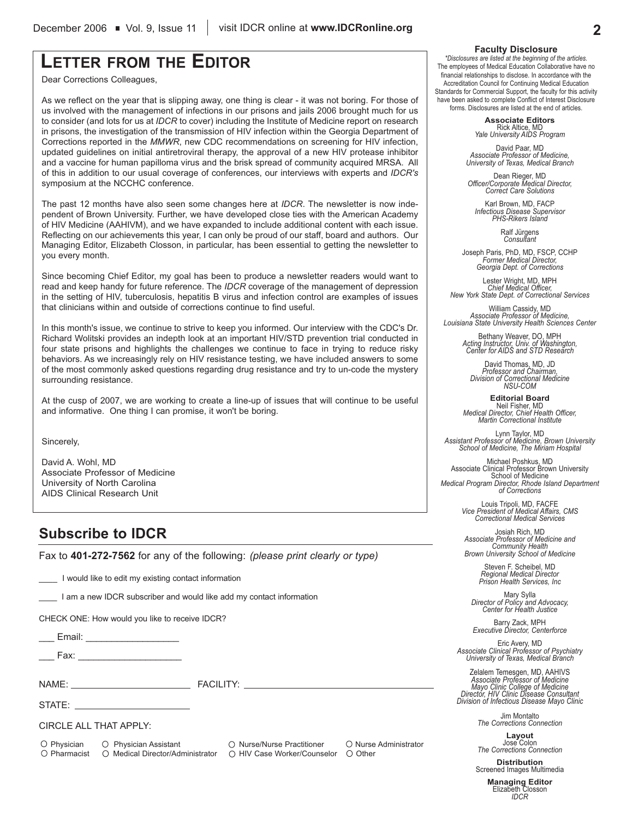# **LETTER FROM THE EDITOR**

Dear Corrections Colleagues,

As we reflect on the year that is slipping away, one thing is clear - it was not boring. For those of us involved with the management of infections in our prisons and jails 2006 brought much for us to consider (and lots for us at *IDCR* to cover) including the Institute of Medicine report on research in prisons, the investigation of the transmission of HIV infection within the Georgia Department of Corrections reported in the *MMWR*, new CDC recommendations on screening for HIV infection, updated guidelines on initial antiretroviral therapy, the approval of a new HIV protease inhibitor and a vaccine for human papilloma virus and the brisk spread of community acquired MRSA. All of this in addition to our usual coverage of conferences, our interviews with experts and *IDCR's* symposium at the NCCHC conference.

The past 12 months have also seen some changes here at *IDCR*. The newsletter is now independent of Brown University. Further, we have developed close ties with the American Academy of HIV Medicine (AAHIVM), and we have expanded to include additional content with each issue. Reflecting on our achievements this year, I can only be proud of our staff, board and authors. Our Managing Editor, Elizabeth Closson, in particular, has been essential to getting the newsletter to you every month.

Since becoming Chief Editor, my goal has been to produce a newsletter readers would want to read and keep handy for future reference. The *IDCR* coverage of the management of depression in the setting of HIV, tuberculosis, hepatitis B virus and infection control are examples of issues that clinicians within and outside of corrections continue to find useful.

In this month's issue, we continue to strive to keep you informed. Our interview with the CDC's Dr. Richard Wolitski provides an indepth look at an important HIV/STD prevention trial conducted in four state prisons and highlights the challenges we continue to face in trying to reduce risky behaviors. As we increasingly rely on HIV resistance testing, we have included answers to some of the most commonly asked questions regarding drug resistance and try to un-code the mystery surrounding resistance.

At the cusp of 2007, we are working to create a line-up of issues that will continue to be useful and informative. One thing I can promise, it won't be boring.

Sincerely,

David A. Wohl, MD Associate Professor of Medicine University of North Carolina AIDS Clinical Research Unit

# **Subscribe to IDCR**

Fax to **401-272-7562** for any of the following: *(please print clearly or type)*

I would like to edit my existing contact information

I am a new IDCR subscriber and would like add my contact information

CHECK ONE: How would you like to receive IDCR?

\_\_\_ Email: \_\_\_\_\_\_\_\_\_\_\_\_\_\_\_\_\_\_

\_\_\_ Fax: \_\_\_\_\_\_\_\_\_\_\_\_\_\_\_\_\_\_\_\_

NAME: THE RESERVE TO A RESERVE THE RESERVE TO A RESERVE THE RESERVE TO A RESERVE THE RESERVE TO A RESERVE THE RESERVE TO A RESERVE THE RESERVE TO A RESERVE THE RESERVE TO A RESERVE THE RESERVE TO A RESERVE THE RESERVE TO A

STATE:

CIRCLE ALL THAT APPLY:

O Physician O Physician Assistant O Nurse/Nurse Practitioner O Nurse Administrator  $\bigcirc$  Pharmacist  $\bigcirc$  Medical Director/Administrator  $\bigcirc$  HIV Case Worker/Counselor  $\bigcirc$  Other

#### **Faculty Disclosure**

*\*Disclosures are listed at the beginning of the articles.* The employees of Medical Education Collaborative have no financial relationships to disclose. In accordance with the Accreditation Council for Continuing Medical Education Standards for Commercial Support, the faculty for this activity have been asked to complete Conflict of Interest Disclosure forms. Disclosures are listed at the end of articles.

> **Associate Editors** Rick Altice, MD *Yale University AIDS Program*

David Paar, MD *Associate Professor of Medicine, University of Texas, Medical Branch*

Dean Rieger, MD *Officer/Corporate Medical Director, Correct Care Solutions*

Karl Brown, MD, FACP *Infectious Disease Supervisor PHS-Rikers Island*

Ralf Jürgens *Consultant*

Joseph Paris, PhD, MD, FSCP, CCHP *Former Medical Director, Georgia Dept. of Corrections*

Lester Wright, MD, MPH *Chief Medical Officer, New York State Dept. of Correctional Services*

William Cassidy, MD *Associate Professor of Medicine, Louisiana State University Health Sciences Center*

Bethany Weaver, DO, MPH *Acting Instructor, Univ. of Washington, Center for AIDS and STD Research*

David Thomas, MD, JD *Professor and Chairman, Division of Correctional Medicine NSU-COM*

**Editorial Board** Neil Fisher, MD *Medical Director, Chief Health Officer, Martin Correctional Institute*

Lynn Taylor, MD *Assistant Professor of Medicine, Brown University School of Medicine, The Miriam Hospital*

Michael Poshkus, MD Associate Clinical Professor Brown University School of Medicine *Medical Program Director, Rhode Island Department of Corrections*

> Louis Tripoli, MD, FACFE *Vice President of Medical Affairs, CMS Correctional Medical Services*

Josiah Rich, MD *Associate Professor of Medicine and Community Health Brown University School of Medicine*

> Steven F. Scheibel, MD *Regional Medical Director Prison Health Services, Inc*

Mary Sylla *Director of Policy and Advocacy, Center for Health Justice*

Barry Zack, MPH *Executive Director, Centerforce*

Eric Avery, MD *Associate Clinical Professor of Psychiatry University of Texas, Medical Branch*

Zelalem Temesgen, MD, AAHIVS *Associate Professor of Medicine Mayo Clinic College of Medicine Director, HIV Clinic Disease Consultant Division of Infectious Disease Mayo Clinic*

> Jim Montalto *The Corrections Connection*

**Layout** Jose Colon *The Corrections Connection*

**Distribution** Screened Images Multimedia

> **Managing Editor** Elizabeth Closson *IDCR*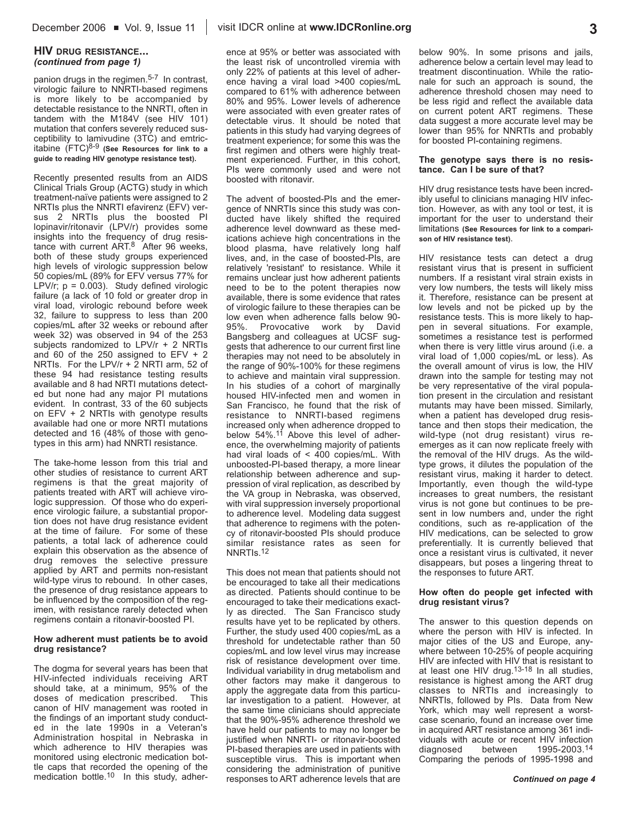#### **HIV DRUG RESISTANCE...** *(continued from page 1)*

panion drugs in the regimen.<sup>5-7</sup> In contrast, virologic failure to NNRTI-based regimens is more likely to be accompanied by detectable resistance to the NNRTI, often in tandem with the M184V (see HIV 101) mutation that confers severely reduced susceptibility to lamivudine (3TC) and emtricitabine (FTC)8-9 **(See Resources for link to a guide to reading HIV genotype resistance test).**

Recently presented results from an AIDS Clinical Trials Group (ACTG) study in which treatment-naïve patients were assigned to 2 NRTIs plus the NNRTI efavirenz (EFV) versus 2 NRTIs plus the boosted PI lopinavir/ritonavir (LPV/r) provides some insights into the frequency of drug resistance with current ART.8 After 96 weeks, both of these study groups experienced high levels of virologic suppression below 50 copies/mL (89% for EFV versus 77% for LPV/r;  $p = 0.003$ ). Study defined virologic failure (a lack of 10 fold or greater drop in viral load, virologic rebound before week 32, failure to suppress to less than 200 copies/mL after 32 weeks or rebound after week 32) was observed in 94 of the 253 subjects randomized to LPV/r + 2 NRTIs and 60 of the 250 assigned to  $E$ FV + 2 NRTIs. For the LPV/r + 2 NRTI arm, 52 of these 94 had resistance testing results available and 8 had NRTI mutations detected but none had any major PI mutations evident. In contrast, 33 of the 60 subjects on EFV + 2 NRTIs with genotype results available had one or more NRTI mutations detected and 16 (48% of those with genotypes in this arm) had NNRTI resistance.

The take-home lesson from this trial and other studies of resistance to current ART regimens is that the great majority of patients treated with ART will achieve virologic suppression. Of those who do experience virologic failure, a substantial proportion does not have drug resistance evident at the time of failure. For some of these patients, a total lack of adherence could explain this observation as the absence of drug removes the selective pressure applied by ART and permits non-resistant wild-type virus to rebound. In other cases, the presence of drug resistance appears to be influenced by the composition of the regimen, with resistance rarely detected when regimens contain a ritonavir-boosted PI.

#### **How adherent must patients be to avoid drug resistance?**

The dogma for several years has been that HIV-infected individuals receiving ART should take, at a minimum, 95% of the doses of medication prescribed. This canon of HIV management was rooted in the findings of an important study conducted in the late 1990s in a Veteran's Administration hospital in Nebraska in which adherence to HIV therapies was monitored using electronic medication bottle caps that recorded the opening of the medication bottle.<sup>10</sup> In this study, adherence at 95% or better was associated with the least risk of uncontrolled viremia with only 22% of patients at this level of adherence having a viral load >400 copies/mL compared to 61% with adherence between 80% and 95%. Lower levels of adherence were associated with even greater rates of detectable virus. It should be noted that patients in this study had varying degrees of treatment experience; for some this was the first regimen and others were highly treatment experienced. Further, in this cohort, PIs were commonly used and were not boosted with ritonavir.

The advent of boosted-PIs and the emergence of NNRTIs since this study was conducted have likely shifted the required adherence level downward as these medications achieve high concentrations in the blood plasma, have relatively long half lives, and, in the case of boosted-PIs, are relatively 'resistant' to resistance. While it remains unclear just how adherent patients need to be to the potent therapies now available, there is some evidence that rates of virologic failure to these therapies can be low even when adherence falls below 90- 95%. Provocative work by David Bangsberg and colleagues at UCSF suggests that adherence to our current first line therapies may not need to be absolutely in the range of 90%-100% for these regimens to achieve and maintain viral suppression. In his studies of a cohort of marginally housed HIV-infected men and women in San Francisco, he found that the risk of resistance to NNRTI-based regimens increased only when adherence dropped to below 54%.<sup>11</sup> Above this level of adherence, the overwhelming majority of patients had viral loads of < 400 copies/mL. With unboosted-PI-based therapy, a more linear relationship between adherence and suppression of viral replication, as described by the VA group in Nebraska, was observed, with viral suppression inversely proportional to adherence level. Modeling data suggest that adherence to regimens with the potency of ritonavir-boosted PIs should produce similar resistance rates as seen for NNRTIs.12

This does not mean that patients should not be encouraged to take all their medications as directed. Patients should continue to be encouraged to take their medications exactly as directed. The San Francisco study results have yet to be replicated by others. Further, the study used 400 copies/mL as a threshold for undetectable rather than 50 copies/mL and low level virus may increase risk of resistance development over time. Individual variability in drug metabolism and other factors may make it dangerous to apply the aggregate data from this particular investigation to a patient. However, at the same time clinicians should appreciate that the 90%-95% adherence threshold we have held our patients to may no longer be justified when NNRTI- or ritonavir-boosted PI-based therapies are used in patients with susceptible virus. This is important when considering the administration of punitive responses to ART adherence levels that are

below 90%. In some prisons and jails, adherence below a certain level may lead to treatment discontinuation. While the rationale for such an approach is sound, the adherence threshold chosen may need to be less rigid and reflect the available data on current potent ART regimens. These data suggest a more accurate level may be lower than 95% for NNRTIs and probably for boosted PI-containing regimens.

#### **The genotype says there is no resistance. Can I be sure of that?**

HIV drug resistance tests have been incredibly useful to clinicians managing HIV infection. However, as with any tool or test, it is important for the user to understand their limitations **(See Resources for link to a comparison of HIV resistance test)**.

HIV resistance tests can detect a drug resistant virus that is present in sufficient numbers. If a resistant viral strain exists in very low numbers, the tests will likely miss it. Therefore, resistance can be present at low levels and not be picked up by the resistance tests. This is more likely to happen in several situations. For example, sometimes a resistance test is performed when there is very little virus around (i.e. a viral load of 1,000 copies/mL or less). As the overall amount of virus is low, the HIV drawn into the sample for testing may not be very representative of the viral population present in the circulation and resistant mutants may have been missed. Similarly, when a patient has developed drug resistance and then stops their medication, the wild-type (not drug resistant) virus reemerges as it can now replicate freely with the removal of the HIV drugs. As the wildtype grows, it dilutes the population of the resistant virus, making it harder to detect. Importantly, even though the wild-type increases to great numbers, the resistant virus is not gone but continues to be present in low numbers and, under the right conditions, such as re-application of the HIV medications, can be selected to grow preferentially. It is currently believed that once a resistant virus is cultivated, it never disappears, but poses a lingering threat to the responses to future ART.

#### **How often do people get infected with drug resistant virus?**

The answer to this question depends on where the person with HIV is infected. In major cities of the US and Europe, anywhere between 10-25% of people acquiring HIV are infected with HIV that is resistant to at least one HIV drug.13-18 In all studies, resistance is highest among the ART drug classes to NRTIs and increasingly to NNRTIs, followed by PIs. Data from New York, which may well represent a worstcase scenario, found an increase over time in acquired ART resistance among 361 individuals with acute or recent HIV infection<br>diagnosed between 1995-2003.<sup>14</sup> 1995-2003.<sup>14</sup> Comparing the periods of 1995-1998 and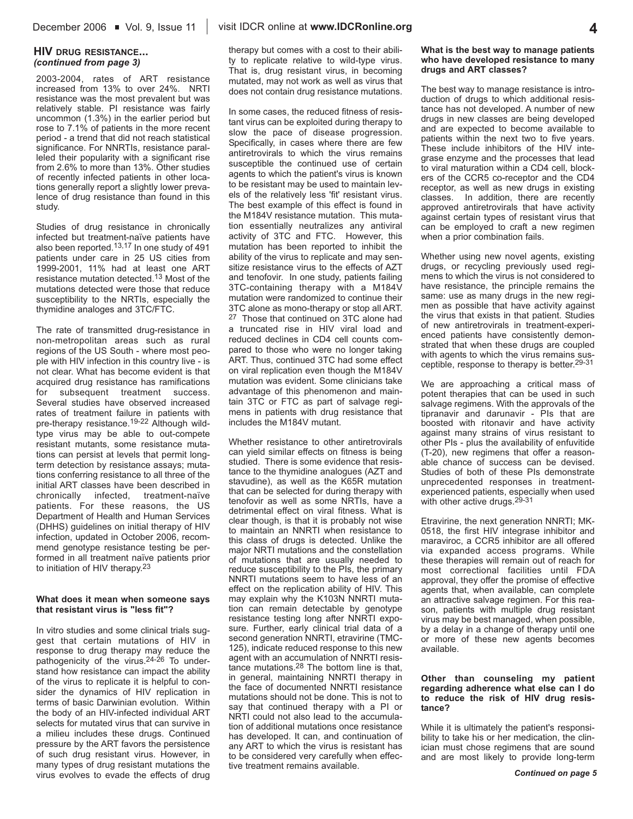2003-2004, rates of ART resistance increased from 13% to over 24%. NRTI resistance was the most prevalent but was relatively stable. PI resistance was fairly uncommon (1.3%) in the earlier period but rose to 7.1% of patients in the more recent period - a trend that did not reach statistical significance. For NNRTIs, resistance paralleled their popularity with a significant rise from 2.6% to more than 13%. Other studies of recently infected patients in other locations generally report a slightly lower prevalence of drug resistance than found in this study.

Studies of drug resistance in chronically infected but treatment-naïve patients have also been reported.13,17 In one study of 491 patients under care in 25 US cities from 1999-2001, 11% had at least one ART resistance mutation detected.13 Most of the mutations detected were those that reduce susceptibility to the NRTIs, especially the thymidine analoges and 3TC/FTC.

The rate of transmitted drug-resistance in non-metropolitan areas such as rural regions of the US South - where most people with HIV infection in this country live - is not clear. What has become evident is that acquired drug resistance has ramifications for subsequent treatment success. Several studies have observed increased rates of treatment failure in patients with pre-therapy resistance.19-22 Although wildtype virus may be able to out-compete resistant mutants, some resistance mutations can persist at levels that permit longterm detection by resistance assays; mutations conferring resistance to all three of the initial ART classes have been described in chronically infected, treatment-naïve patients. For these reasons, the US Department of Health and Human Services (DHHS) guidelines on initial therapy of HIV infection, updated in October 2006, recommend genotype resistance testing be performed in all treatment naïve patients prior to initiation of HIV therapy.23

#### **What does it mean when someone says that resistant virus is "less fit"?**

In vitro studies and some clinical trials suggest that certain mutations of HIV in response to drug therapy may reduce the pathogenicity of the virus.<sup>24-26</sup> To understand how resistance can impact the ability of the virus to replicate it is helpful to consider the dynamics of HIV replication in terms of basic Darwinian evolution. Within the body of an HIV-infected individual ART selects for mutated virus that can survive in a milieu includes these drugs. Continued pressure by the ART favors the persistence of such drug resistant virus. However, in many types of drug resistant mutations the virus evolves to evade the effects of drug

therapy but comes with a cost to their ability to replicate relative to wild-type virus. That is, drug resistant virus, in becoming mutated, may not work as well as virus that does not contain drug resistance mutations.

In some cases, the reduced fitness of resistant virus can be exploited during therapy to slow the pace of disease progression. Specifically, in cases where there are few antiretrovirals to which the virus remains susceptible the continued use of certain agents to which the patient's virus is known to be resistant may be used to maintain levels of the relatively less 'fit' resistant virus. The best example of this effect is found in the M184V resistance mutation. This mutation essentially neutralizes any antiviral activity of 3TC and FTC. However, this mutation has been reported to inhibit the ability of the virus to replicate and may sensitize resistance virus to the effects of AZT and tenofovir. In one study, patients failing 3TC-containing therapy with a M184V mutation were randomized to continue their 3TC alone as mono-therapy or stop all ART. 27 Those that continued on 3TC alone had a truncated rise in HIV viral load and reduced declines in CD4 cell counts compared to those who were no longer taking ART. Thus, continued 3TC had some effect on viral replication even though the M184V mutation was evident. Some clinicians take advantage of this phenomenon and maintain 3TC or FTC as part of salvage regimens in patients with drug resistance that includes the M184V mutant.

Whether resistance to other antiretrovirals can yield similar effects on fitness is being studied. There is some evidence that resistance to the thymidine analogues (AZT and stavudine), as well as the K65R mutation that can be selected for during therapy with tenofovir as well as some NRTIs, have a detrimental effect on viral fitness. What is clear though, is that it is probably not wise to maintain an NNRTI when resistance to this class of drugs is detected. Unlike the major NRTI mutations and the constellation of mutations that are usually needed to reduce susceptibility to the PIs, the primary NNRTI mutations seem to have less of an effect on the replication ability of HIV. This may explain why the K103N NNRTI mutation can remain detectable by genotype resistance testing long after NNRTI exposure. Further, early clinical trial data of a second generation NNRTI, etravirine (TMC-125), indicate reduced response to this new agent with an accumulation of NNRTI resistance mutations.28 The bottom line is that, in general, maintaining NNRTI therapy in the face of documented NNRTI resistance mutations should not be done. This is not to say that continued therapy with a PI or NRTI could not also lead to the accumulation of additional mutations once resistance has developed. It can, and continuation of any ART to which the virus is resistant has to be considered very carefully when effective treatment remains available.

#### **What is the best way to manage patients who have developed resistance to many drugs and ART classes?**

The best way to manage resistance is introduction of drugs to which additional resistance has not developed. A number of new drugs in new classes are being developed and are expected to become available to patients within the next two to five years. These include inhibitors of the HIV integrase enzyme and the processes that lead to viral maturation within a CD4 cell, blockers of the CCR5 co-receptor and the CD4 receptor, as well as new drugs in existing classes. In addition, there are recently approved antiretrovirals that have activity against certain types of resistant virus that can be employed to craft a new regimen when a prior combination fails.

Whether using new novel agents, existing drugs, or recycling previously used regimens to which the virus is not considered to have resistance, the principle remains the same: use as many drugs in the new regimen as possible that have activity against the virus that exists in that patient. Studies of new antiretrovirals in treatment-experienced patients have consistently demonstrated that when these drugs are coupled with agents to which the virus remains susceptible, response to therapy is better.29-31

We are approaching a critical mass of potent therapies that can be used in such salvage regimens. With the approvals of the tipranavir and darunavir - PIs that are boosted with ritonavir and have activity against many strains of virus resistant to other PIs - plus the availability of enfuvitide (T-20), new regimens that offer a reasonable chance of success can be devised. Studies of both of these PIs demonstrate unprecedented responses in treatmentexperienced patients, especially when used with other active drugs.<sup>29-31</sup>

Etravirine, the next generation NNRTI; MK-0518, the first HIV integrase inhibitor and maraviroc, a CCR5 inhibitor are all offered via expanded access programs. While these therapies will remain out of reach for most correctional facilities until FDA approval, they offer the promise of effective agents that, when available, can complete an attractive salvage regimen. For this reason, patients with multiple drug resistant virus may be best managed, when possible, by a delay in a change of therapy until one or more of these new agents becomes available.

#### **Other than counseling my patient regarding adherence what else can I do to reduce the risk of HIV drug resistance?**

While it is ultimately the patient's responsibility to take his or her medication, the clinician must chose regimens that are sound and are most likely to provide long-term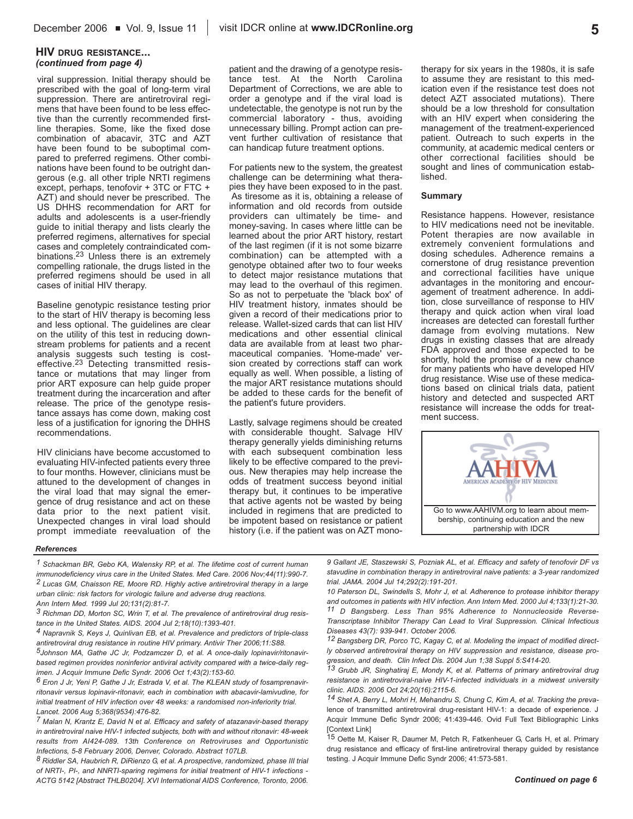#### **HIV DRUG RESISTANCE...** *(continued from page 4)*

viral suppression. Initial therapy should be prescribed with the goal of long-term viral suppression. There are antiretroviral regimens that have been found to be less effective than the currently recommended firstline therapies. Some, like the fixed dose combination of abacavir, 3TC and AZT have been found to be suboptimal compared to preferred regimens. Other combinations have been found to be outright dangerous (e.g. all other triple NRTI regimens except, perhaps, tenofovir + 3TC or FTC + AZT) and should never be prescribed. The US DHHS recommendation for ART for adults and adolescents is a user-friendly guide to initial therapy and lists clearly the preferred regimens, alternatives for special cases and completely contraindicated combinations.23 Unless there is an extremely compelling rationale, the drugs listed in the preferred regimens should be used in all cases of initial HIV therapy.

Baseline genotypic resistance testing prior to the start of HIV therapy is becoming less and less optional. The guidelines are clear on the utility of this test in reducing downstream problems for patients and a recent analysis suggests such testing is costeffective.<sup>23</sup> Detecting transmitted resistance or mutations that may linger from prior ART exposure can help guide proper treatment during the incarceration and after release. The price of the genotype resistance assays has come down, making cost less of a justification for ignoring the DHHS recommendations.

HIV clinicians have become accustomed to evaluating HIV-infected patients every three to four months. However, clinicians must be attuned to the development of changes in the viral load that may signal the emergence of drug resistance and act on these data prior to the next patient visit. Unexpected changes in viral load should prompt immediate reevaluation of the

patient and the drawing of a genotype resistance test. At the North Carolina Department of Corrections, we are able to order a genotype and if the viral load is undetectable, the genotype is not run by the commercial laboratory - thus, avoiding unnecessary billing. Prompt action can prevent further cultivation of resistance that can handicap future treatment options.

For patients new to the system, the greatest challenge can be determining what therapies they have been exposed to in the past. As tiresome as it is, obtaining a release of information and old records from outside providers can ultimately be time- and money-saving. In cases where little can be learned about the prior ART history, restart of the last regimen (if it is not some bizarre combination) can be attempted with a genotype obtained after two to four weeks to detect major resistance mutations that may lead to the overhaul of this regimen. So as not to perpetuate the 'black box' of HIV treatment history, inmates should be given a record of their medications prior to release. Wallet-sized cards that can list HIV medications and other essential clinical data are available from at least two pharmaceutical companies. 'Home-made' version created by corrections staff can work equally as well. When possible, a listing of the major ART resistance mutations should be added to these cards for the benefit of the patient's future providers.

Lastly, salvage regimens should be created with considerable thought. Salvage HIV therapy generally yields diminishing returns with each subsequent combination less likely to be effective compared to the previous. New therapies may help increase the odds of treatment success beyond initial therapy but, it continues to be imperative that active agents not be wasted by being included in regimens that are predicted to be impotent based on resistance or patient history (i.e. if the patient was on AZT monotherapy for six years in the 1980s, it is safe to assume they are resistant to this medication even if the resistance test does not detect AZT associated mutations). There should be a low threshold for consultation with an HIV expert when considering the management of the treatment-experienced patient. Outreach to such experts in the community, at academic medical centers or other correctional facilities should be sought and lines of communication established.

#### **Summary**

Resistance happens. However, resistance to HIV medications need not be inevitable. Potent therapies are now available in extremely convenient formulations and dosing schedules. Adherence remains a cornerstone of drug resistance prevention and correctional facilities have unique advantages in the monitoring and encouragement of treatment adherence. In addition, close surveillance of response to HIV therapy and quick action when viral load increases are detected can forestall further damage from evolving mutations. New drugs in existing classes that are already FDA approved and those expected to be shortly, hold the promise of a new chance for many patients who have developed HIV drug resistance. Wise use of these medications based on clinical trials data, patient history and detected and suspected ART resistance will increase the odds for treatment success.



#### *References*

*1 Schackman BR, Gebo KA, Walensky RP, et al. The lifetime cost of current human immunodeficiency virus care in the United States. Med Care. 2006 Nov;44(11):990-7. 2 Lucas GM, Chaisson RE, Moore RD. Highly active antiretroviral therapy in a large urban clinic: risk factors for virologic failure and adverse drug reactions.*

*3 Richman DD, Morton SC, Wrin T, et al. The prevalence of antiretroviral drug resistance in the United States. AIDS. 2004 Jul 2;18(10):1393-401.*

*4 Napravnik S, Keys J, Quinlivan EB, et al. Prevalence and predictors of triple-class antiretroviral drug resistance in routine HIV primary. Antivir Ther 2006;11:S88.*

*5Johnson MA, Gathe JC Jr, Podzamczer D, et al. A once-daily lopinavir/ritonavirbased regimen provides noninferior antiviral activity compared with a twice-daily regimen. J Acquir Immune Defic Syndr. 2006 Oct 1;43(2):153-60.*

*6 Eron J Jr, Yeni P, Gathe J Jr, Estrada V, et al. The KLEAN study of fosamprenavirritonavir versus lopinavir-ritonavir, each in combination with abacavir-lamivudine, for initial treatment of HIV infection over 48 weeks: a randomised non-inferiority trial. Lancet. 2006 Aug 5;368(9534):476-82.*

*7 Malan N, Krantz E, David N et al. Efficacy and safety of atazanavir-based therapy in antiretroviral naive HIV-1 infected subjects, both with and without ritonavir: 48-week results from AI424-089. 13th Conference on Retroviruses and Opportunistic Infections, 5-8 February 2006, Denver, Colorado. Abstract 107LB.*

*8 Riddler SA, Haubrich R, DiRienzo G, et al. A prospective, randomized, phase III trial of NRTI-, PI-, and NNRTI-sparing regimens for initial treatment of HIV-1 infections - ACTG 5142 [Abstract THLB0204]. XVI International AIDS Conference, Toronto, 2006.*

*9 Gallant JE, Staszewski S, Pozniak AL, et al. Efficacy and safety of tenofovir DF vs stavudine in combination therapy in antiretroviral naive patients: a 3-year randomized trial. JAMA. 2004 Jul 14;292(2):191-201.*

*10 Paterson DL, Swindells S, Mohr J, et al. Adherence to protease inhibitor therapy and outcomes in patients with HIV infection. Ann Intern Med. 2000 Jul 4;133(1):21-30. 11 D Bangsberg. Less Than 95% Adherence to Nonnucleoside Reverse-Transcriptase Inhibitor Therapy Can Lead to Viral Suppression. Clinical Infectious Diseases 43(7): 939-941. October 2006.*

*12 Bangsberg DR, Porco TC, Kagay C, et al. Modeling the impact of modified directly observed antiretroviral therapy on HIV suppression and resistance, disease progression, and death. Clin Infect Dis. 2004 Jun 1;38 Suppl 5:S414-20.*

*13 Grubb JR, Singhatiraj E, Mondy K, et al. Patterns of primary antiretroviral drug resistance in antiretroviral-naive HIV-1-infected individuals in a midwest university clinic. AIDS. 2006 Oct 24;20(16):2115-6.*

*14 Shet A, Berry L, Mohri H, Mehandru S, Chung C, Kim A, et al. Tracking the preva*lence of transmitted antiretroviral drug-resistant HIV-1: a decade of experience. J Acquir Immune Defic Syndr 2006; 41:439-446. Ovid Full Text Bibliographic Links [Context Link]

15 Oette M, Kaiser R, Daumer M, Petch R, Fatkenheuer G, Carls H, et al. Primary drug resistance and efficacy of first-line antiretroviral therapy guided by resistance testing. J Acquir Immune Defic Syndr 2006; 41:573-581.

#### *Continued on page 6*

*Ann Intern Med. 1999 Jul 20;131(2):81-7.*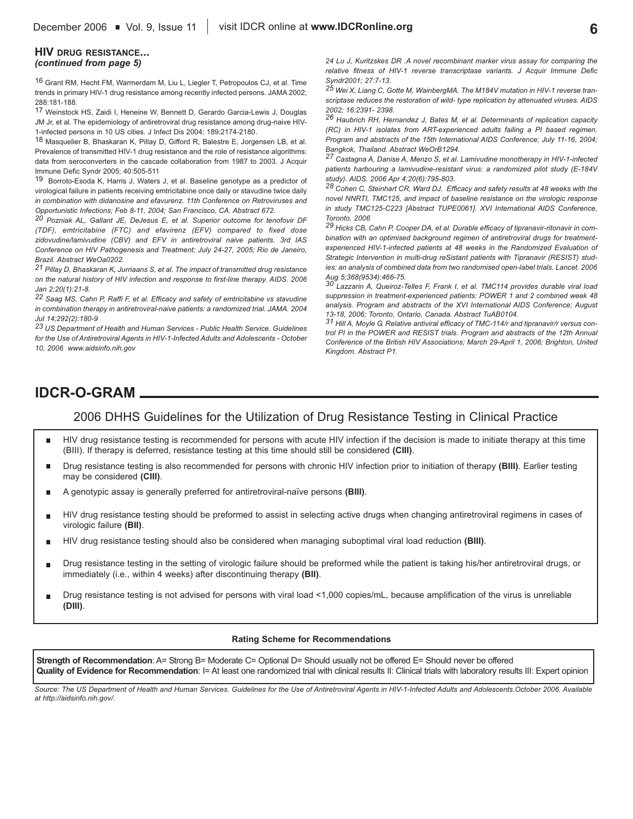#### **HIV DRUG RESISTANCE...** *(continued from page 5)*

16 Grant RM, Hecht FM, Warmerdam M, Liu L, Liegler T, Petropoulos CJ, et al. Time trends in primary HIV-1 drug resistance among recently infected persons. JAMA 2002; 288:181-188.

17 Weinstock HS, Zaidi I, Heneine W, Bennett D, Gerardo Garcia-Lewis J, Douglas JM Jr, et al. The epidemiology of antiretroviral drug resistance among drug-naive HIV-1-infected persons in 10 US cities. J Infect Dis 2004; 189:2174-2180.

18 Masquelier B, Bhaskaran K, Pillay D, Gifford R, Balestre E, Jorgensen LB, et al. Prevalence of transmitted HIV-1 drug resistance and the role of resistance algorithms: data from seroconverters in the cascade collaboration from 1987 to 2003. J Acquir Immune Defic Syndr 2005; 40:505-511

19 Borroto-Esoda K, Harris J, Waters J, et al. Baseline genotype as a predictor of virological failure in patients receiving emtricitabine once daily or stavudine twice daily *in combination with didanosine and efavurenz. 11th Conference on Retroviruses and Opportunistic Infections; Feb 8-11, 2004; San Francisco, CA. Abstract 672.* 

*20 Pozniak AL, Gallant JE, DeJesus E, et al. Superior outcome for tenofovir DF (TDF), emtricitabine (FTC) and efavirenz (EFV) compared to fixed dose zidovudine/lamivudine (CBV) and EFV in antiretroviral naive patients. 3rd IAS Conference on HIV Pathogenesis and Treatment; July 24-27, 2005; Rio de Janeiro, Brazil. Abstract WeOa0202.*

*21 Pillay D, Bhaskaran K, Jurriaans S, et al. The impact of transmitted drug resistance on the natural history of HIV infection and response to first-line therapy. AIDS. 2006 Jan 2;20(1):21-8.*

*22 Saag MS, Cahn P, Raffi F, et al. Efficacy and safety of emtricitabine vs stavudine in combination therapy in antiretroviral-naive patients: a randomized trial. JAMA. 2004 Jul 14;292(2):180-9*

*23 US Department of Health and Human Services - Public Health Service. Guidelines for the Use of Antiretroviral Agents in HIV-1-Infected Adults and Adolescents - October 10, 2006 www.aidsinfo.nih.gov*

*24 Lu J, Kuritzskes DR .A novel recombinant marker virus assay for comparing the relative fitness of HIV-1 reverse transcriptase variants. J Acquir Immune Defic Syndr2001; 27:7-13.* 

*25 Wei X, Liang C, Gotte M, WainbergMA. The M184V mutation in HIV-1 reverse transcriptase reduces the restoration of wild- type replication by attenuated viruses. AIDS 2002; 16:2391- 2398.* 

*26 Haubrich RH, Hernandez J, Bates M, et al. Determinants of replication capacity (RC) in HIV-1 isolates from ART-experienced adults failing a PI based regimen. Program and abstracts of the 15th International AIDS Conference; July 11-16, 2004; Bangkok, Thailand. Abstract WeOrB1294.*

*27 Castagna A, Danise A, Menzo S, et al. Lamivudine monotherapy in HIV-1-infected patients harbouring a lamivudine-resistant virus: a randomized pilot study (E-184V study). AIDS. 2006 Apr 4;20(6):795-803.*

*28 Cohen C, Steinhart CR, Ward DJ. Efficacy and safety results at 48 weeks with the novel NNRTI, TMC125, and impact of baseline resistance on the virologic response in study TMC125-C223 [Abstract TUPE0061]. XVI International AIDS Conference, Toronto, 2006*

*29 Hicks CB, Cahn P, Cooper DA, et al. Durable efficacy of tipranavir-ritonavir in combination with an optimised background regimen of antiretroviral drugs for treatmentexperienced HIV-1-infected patients at 48 weeks in the Randomized Evaluation of Strategic Intervention in multi-drug reSistant patients with Tipranavir (RESIST) studies: an analysis of combined data from two randomised open-label trials. Lancet. 2006 Aug 5;368(9534):466-75. 30 Lazzarin A, Queiroz-Telles F, Frank I, et al. TMC114 provides durable viral load*

*suppression in treatment-experienced patients: POWER 1 and 2 combined week 48 analysis. Program and abstracts of the XVI International AIDS Conference; August 13-18, 2006; Toronto, Ontario, Canada. Abstract TuAB0104.*

*31 Hill A, Moyle G. Relative antiviral efficacy of TMC-114/r and tipranavir/r versus control PI in the POWER and RESIST trials. Program and abstracts of the 12th Annual Conference of the British HIV Associations; March 29-April 1, 2006; Brighton, United Kingdom. Abstract P1.*

# **IDCR-O-GRAM**

# 2006 DHHS Guidelines for the Utilization of Drug Resistance Testing in Clinical Practice

- HIV drug resistance testing is recommended for persons with acute HIV infection if the decision is made to initiate therapy at this time п (BIII). If therapy is deferred, resistance testing at this time should still be considered **(CIII)**.
- Drug resistance testing is also recommended for persons with chronic HIV infection prior to initiation of therapy **(BIII)**. Earlier testing п may be considered **(CIII)**.
- Г A genotypic assay is generally preferred for antiretroviral-naïve persons **(BIII)**.
- Ė HIV drug resistance testing should be preformed to assist in selecting active drugs when changing antiretroviral regimens in cases of virologic failure **(BII)**.
- HIV drug resistance testing should also be considered when managing suboptimal viral load reduction **(BIII)**. П
- Drug resistance testing in the setting of virologic failure should be preformed while the patient is taking his/her antiretroviral drugs, or п immediately (i.e., within 4 weeks) after discontinuing therapy **(BII)**.
- Drug resistance testing is not advised for persons with viral load <1,000 copies/mL, because amplification of the virus is unreliable п **(DIII)**.

#### **Rating Scheme for Recommendations**

**Strength of Recommendation**: A= Strong B= Moderate C= Optional D= Should usually not be offered E= Should never be offered Quality of Evidence for Recommendation: I= At least one randomized trial with clinical results II: Clinical trials with laboratory results III: Expert opinion

*Source: The US Department of Health and Human Services. Guidelines for the Use of Antiretroviral Agents in HIV-1-Infected Adults and Adolescents.October 2006. Available at http://aidsinfo.nih.gov/.*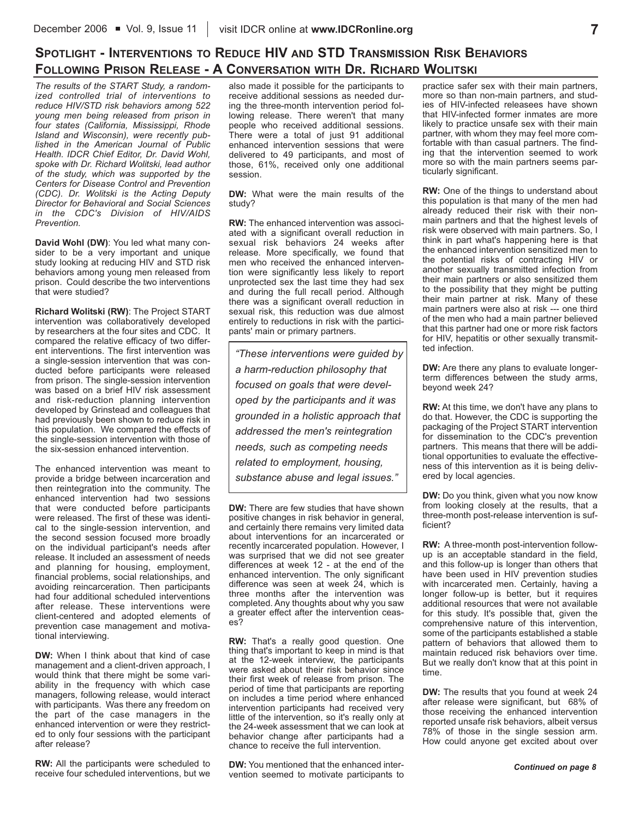# **SPOTLIGHT - INTERVENTIONS TO REDUCE HIV AND STD TRANSMISSION RISK BEHAVIORS FOLLOWING PRISON RELEASE - A CONVERSATION WITH DR. RICHARD WOLITSKI**

*The results of the START Study, a randomized controlled trial of interventions to reduce HIV/STD risk behaviors among 522 young men being released from prison in four states (California, Mississippi, Rhode Island and Wisconsin), were recently published in the American Journal of Public Health. IDCR Chief Editor, Dr. David Wohl, spoke with Dr. Richard Wolitski, lead author of the study, which was supported by the Centers for Disease Control and Prevention (CDC). Dr. Wolitski is the Acting Deputy Director for Behavioral and Social Sciences in the CDC's Division of HIV/AIDS Prevention.*

**David Wohl (DW)**: You led what many consider to be a very important and unique study looking at reducing HIV and STD risk behaviors among young men released from prison. Could describe the two interventions that were studied?

**Richard Wolitski (RW)**: The Project START intervention was collaboratively developed by researchers at the four sites and CDC. It compared the relative efficacy of two different interventions. The first intervention was a single-session intervention that was conducted before participants were released from prison. The single-session intervention was based on a brief HIV risk assessment and risk-reduction planning intervention developed by Grinstead and colleagues that had previously been shown to reduce risk in this population. We compared the effects of the single-session intervention with those of the six-session enhanced intervention.

The enhanced intervention was meant to provide a bridge between incarceration and then reintegration into the community. The enhanced intervention had two sessions that were conducted before participants were released. The first of these was identical to the single-session intervention, and the second session focused more broadly on the individual participant's needs after release. It included an assessment of needs and planning for housing, employment, financial problems, social relationships, and avoiding reincarceration. Then participants had four additional scheduled interventions after release. These interventions were client-centered and adopted elements of prevention case management and motivational interviewing.

**DW:** When I think about that kind of case management and a client-driven approach, I would think that there might be some variability in the frequency with which case managers, following release, would interact with participants. Was there any freedom on the part of the case managers in the enhanced intervention or were they restricted to only four sessions with the participant after release?

**RW:** All the participants were scheduled to receive four scheduled interventions, but we also made it possible for the participants to receive additional sessions as needed during the three-month intervention period following release. There weren't that many people who received additional sessions. There were a total of just 91 additional enhanced intervention sessions that were delivered to 49 participants, and most of those, 61%, received only one additional session.

**DW:** What were the main results of the study?

**RW:** The enhanced intervention was associated with a significant overall reduction in sexual risk behaviors 24 weeks after release. More specifically, we found that men who received the enhanced intervention were significantly less likely to report unprotected sex the last time they had sex and during the full recall period. Although there was a significant overall reduction in sexual risk, this reduction was due almost entirely to reductions in risk with the participants' main or primary partners.

*"These interventions were guided by a harm-reduction philosophy that focused on goals that were developed by the participants and it was grounded in a holistic approach that addressed the men's reintegration needs, such as competing needs related to employment, housing, substance abuse and legal issues."*

**DW:** There are few studies that have shown positive changes in risk behavior in general, and certainly there remains very limited data about interventions for an incarcerated or recently incarcerated population. However, I was surprised that we did not see greater differences at week 12 - at the end of the enhanced intervention. The only significant difference was seen at week 24, which is three months after the intervention was completed. Any thoughts about why you saw a greater effect after the intervention ceases?

**RW:** That's a really good question. One thing that's important to keep in mind is that at the 12-week interview, the participants were asked about their risk behavior since their first week of release from prison. The period of time that participants are reporting on includes a time period where enhanced intervention participants had received very little of the intervention, so it's really only at the 24-week assessment that we can look at behavior change after participants had a chance to receive the full intervention.

**DW:** You mentioned that the enhanced intervention seemed to motivate participants to practice safer sex with their main partners, more so than non-main partners, and studies of HIV-infected releasees have shown that HIV-infected former inmates are more likely to practice unsafe sex with their main partner, with whom they may feel more comfortable with than casual partners. The finding that the intervention seemed to work more so with the main partners seems particularly significant.

**RW:** One of the things to understand about this population is that many of the men had already reduced their risk with their nonmain partners and that the highest levels of risk were observed with main partners. So, I think in part what's happening here is that the enhanced intervention sensitized men to the potential risks of contracting HIV or another sexually transmitted infection from their main partners or also sensitized them to the possibility that they might be putting their main partner at risk. Many of these main partners were also at risk --- one third of the men who had a main partner believed that this partner had one or more risk factors for HIV, hepatitis or other sexually transmitted infection.

**DW:** Are there any plans to evaluate longerterm differences between the study arms, beyond week 24?

**RW:** At this time, we don't have any plans to do that. However, the CDC is supporting the packaging of the Project START intervention for dissemination to the CDC's prevention partners. This means that there will be additional opportunities to evaluate the effectiveness of this intervention as it is being delivered by local agencies.

**DW:** Do you think, given what you now know from looking closely at the results, that a three-month post-release intervention is sufficient?

**RW:** A three-month post-intervention followup is an acceptable standard in the field, and this follow-up is longer than others that have been used in HIV prevention studies with incarcerated men. Certainly, having a longer follow-up is better, but it requires additional resources that were not available for this study. It's possible that, given the comprehensive nature of this intervention, some of the participants established a stable pattern of behaviors that allowed them to maintain reduced risk behaviors over time. But we really don't know that at this point in time.

**DW:** The results that you found at week 24 after release were significant, but 68% of those receiving the enhanced intervention reported unsafe risk behaviors, albeit versus 78% of those in the single session arm. How could anyone get excited about over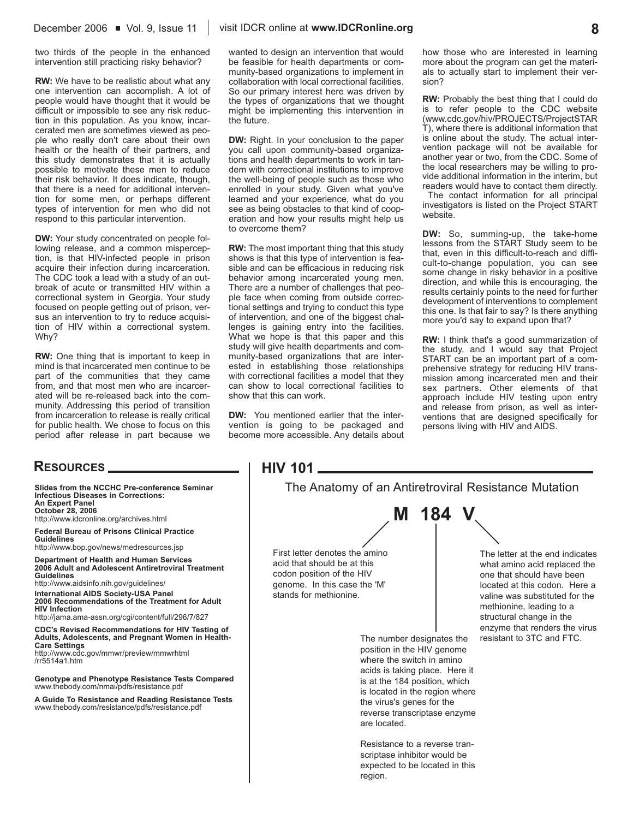two thirds of the people in the enhanced intervention still practicing risky behavior?

**RW:** We have to be realistic about what any one intervention can accomplish. A lot of people would have thought that it would be difficult or impossible to see any risk reduction in this population. As you know, incarcerated men are sometimes viewed as people who really don't care about their own health or the health of their partners, and this study demonstrates that it is actually possible to motivate these men to reduce their risk behavior. It does indicate, though, that there is a need for additional intervention for some men, or perhaps different types of intervention for men who did not respond to this particular intervention.

**DW:** Your study concentrated on people following release, and a common misperception, is that HIV-infected people in prison acquire their infection during incarceration. The CDC took a lead with a study of an outbreak of acute or transmitted HIV within a correctional system in Georgia. Your study focused on people getting out of prison, versus an intervention to try to reduce acquisition of HIV within a correctional system. Why?

**RW:** One thing that is important to keep in mind is that incarcerated men continue to be part of the communities that they came from, and that most men who are incarcerated will be re-released back into the community. Addressing this period of transition from incarceration to release is really critical for public health. We chose to focus on this period after release in part because we

### **RESOURCES**

**Slides from the NCCHC Pre-conference Seminar Infectious Diseases in Corrections: An Expert Panel October 28, 2006** http://www.idcronline.org/archives.html **Federal Bureau of Prisons Clinical Practice Guidelines** http://www.bop.gov/news/medresources.jsp **Department of Health and Human Services 2006 Adult and Adolescent Antiretroviral Treatment Guidelines** http://www.aidsinfo.nih.gov/guidelines/ **International AIDS Society-USA Panel 2006 Recommendations of the Treatment for Adult HIV Infection** http://jama.ama-assn.org/cgi/content/full/296/7/827 **CDC's Revised Recommendations for HIV Testing of Adults, Adolescents, and Pregnant Women in Health-Care Settings** http://www.cdc.gov/mmwr/preview/mmwrhtml /rr5514a1.htm **Genotype and Phenotype Resistance Tests Compared**  www.thebody.com/nmai/pdfs/resistance.pdf

**A Guide To Resistance and Reading Resistance Tests** www.thebody.com/resistance/pdfs/resistance.pdf

wanted to design an intervention that would be feasible for health departments or community-based organizations to implement in collaboration with local correctional facilities. So our primary interest here was driven by the types of organizations that we thought might be implementing this intervention in the future.

**DW:** Right. In your conclusion to the paper you call upon community-based organizations and health departments to work in tandem with correctional institutions to improve the well-being of people such as those who enrolled in your study. Given what you've learned and your experience, what do you see as being obstacles to that kind of cooperation and how your results might help us to overcome them?

**RW:** The most important thing that this study shows is that this type of intervention is feasible and can be efficacious in reducing risk behavior among incarcerated young men. There are a number of challenges that people face when coming from outside correctional settings and trying to conduct this type of intervention, and one of the biggest challenges is gaining entry into the facilities. What we hope is that this paper and this study will give health departments and community-based organizations that are interested in establishing those relationships with correctional facilities a model that they can show to local correctional facilities to show that this can work.

**DW:** You mentioned earlier that the intervention is going to be packaged and become more accessible. Any details about how those who are interested in learning more about the program can get the materials to actually start to implement their version?

**RW:** Probably the best thing that I could do is to refer people to the CDC website (www.cdc.gov/hiv/PROJECTS/ProjectSTAR T), where there is additional information that is online about the study. The actual intervention package will not be available for another year or two, from the CDC. Some of the local researchers may be willing to provide additional information in the interim, but readers would have to contact them directly.

The contact information for all principal investigators is listed on the Project START website.

**DW:** So, summing-up, the take-home lessons from the START Study seem to be that, even in this difficult-to-reach and difficult-to-change population, you can see some change in risky behavior in a positive direction, and while this is encouraging, the results certainly points to the need for further development of interventions to complement this one. Is that fair to say? Is there anything more you'd say to expand upon that?

**RW:** I think that's a good summarization of the study, and I would say that Project START can be an important part of a comprehensive strategy for reducing HIV transmission among incarcerated men and their sex partners. Other elements of that approach include HIV testing upon entry and release from prison, as well as interventions that are designed specifically for persons living with HIV and AIDS.

| <b>HIV 101</b>                                                                                                                                                                                                                                                         |                                                                                                                                                                                                                                                          |
|------------------------------------------------------------------------------------------------------------------------------------------------------------------------------------------------------------------------------------------------------------------------|----------------------------------------------------------------------------------------------------------------------------------------------------------------------------------------------------------------------------------------------------------|
|                                                                                                                                                                                                                                                                        | The Anatomy of an Antiretroviral Resistance Mutation                                                                                                                                                                                                     |
| M 184                                                                                                                                                                                                                                                                  |                                                                                                                                                                                                                                                          |
| First letter denotes the amino<br>acid that should be at this<br>codon position of the HIV<br>genome. In this case the 'M'<br>stands for methionine.                                                                                                                   | The letter at the end indicates<br>what amino acid replaced the<br>one that should have been<br>located at this codon. Here a<br>valine was substituted for the<br>methionine, leading to a<br>structural change in the<br>enzyme that renders the virus |
| The number designates the<br>position in the HIV genome<br>where the switch in amino<br>acids is taking place. Here it<br>is at the 184 position, which<br>is located in the region where<br>the virus's genes for the<br>reverse transcriptase enzyme<br>are located. | resistant to 3TC and FTC.                                                                                                                                                                                                                                |
| Resistance to a reverse tran-<br>scriptase inhibitor would be<br>expected to be located in this<br>region.                                                                                                                                                             |                                                                                                                                                                                                                                                          |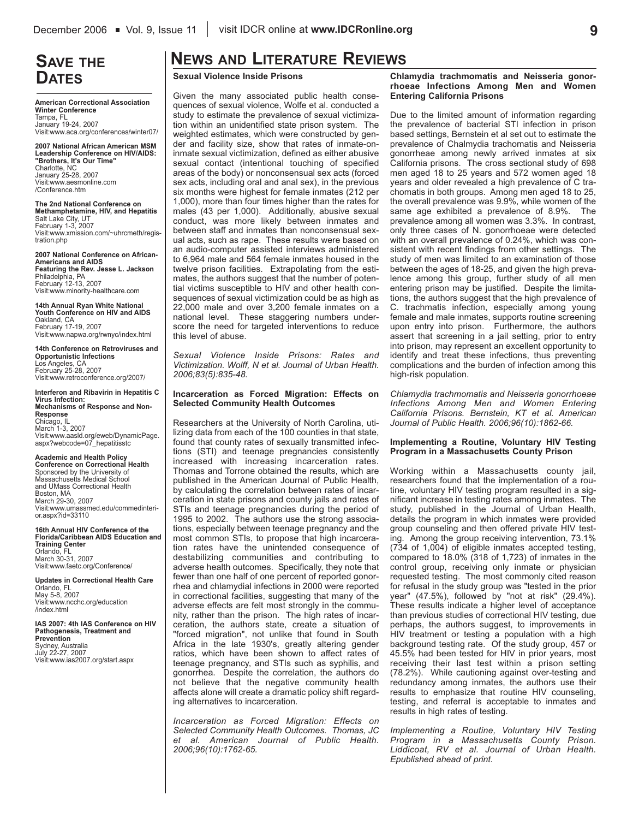# **SAVE THE DATES**

**American Correctional Association Winter Conference** Tampa, FL January 19-24, 2007 Visit:www.aca.org/conferences/winter07/

**2007 National African American MSM Leadership Conference on HIV/AIDS: "Brothers, It's Our Time"** Charlotte, NC January 25-28, 2007 Visit:www.aesmonline.com /Conference.htm

**The 2nd National Conference on Methamphetamine, HIV, and Hepatitis** Salt Lake City, UT February 1-3, 2007 Visit:www.xmission.com/~uhrcmeth/registration.php

**2007 National Conference on African-Americans and AIDS Featuring the Rev. Jesse L. Jackson** Philadelphia, PA February 12-13, 2007 Visit:www.minority-healthcare.com

**14th Annual Ryan White National Youth Conference on HIV and AIDS** Oakland, CA February 17-19, 2007 Visit:www.napwa.org/rwnyc/index.html

**14th Conference on Retroviruses and Opportunistic Infections** Los Angeles, CA February 25-28, 2007 Visit:www.retroconference.org/2007/

**Interferon and Ribavirin in Hepatitis C Virus Infection: Mechanisms of Response and Non-Response** Chicago, IL March 1-3, 2007 Visit:www.aasld.org/eweb/DynamicPage. aspx?webcode=07\_hepatitisstc

**Academic and Health Policy Conference on Correctional Health** Sponsored by the University of Massachusetts Medical School and UMass Correctional Health Boston, MA March 29-30, 2007 Visit:www.umassmed.edu/commedinterior.aspx?id=33110

**16th Annual HIV Conference of the Florida/Caribbean AIDS Education and Training Center** Orlando, FL March 30-31, 2007 Visit:www.faetc.org/Conference/

**Updates in Correctional Health Care** Orlando, FL May 5-8, 2007 Visit:www.ncchc.org/education /index.html

**IAS 2007: 4th IAS Conference on HIV Pathogenesis, Treatment and Prevention** Sydney, Australia July 22-27, 2007 Visit:www.ias2007.org/start.aspx

# **NEWS AND LITERATURE REVIEWS**

#### **Sexual Violence Inside Prisons**

Given the many associated public health consequences of sexual violence, Wolfe et al. conducted a study to estimate the prevalence of sexual victimization within an unidentified state prison system. The weighted estimates, which were constructed by gender and facility size, show that rates of inmate-oninmate sexual victimization, defined as either abusive sexual contact (intentional touching of specified areas of the body) or nonconsensual sex acts (forced sex acts, including oral and anal sex), in the previous six months were highest for female inmates (212 per 1,000), more than four times higher than the rates for males (43 per 1,000). Additionally, abusive sexual conduct, was more likely between inmates and between staff and inmates than nonconsensual sexual acts, such as rape. These results were based on an audio-computer assisted interviews administered to 6,964 male and 564 female inmates housed in the twelve prison facilities. Extrapolating from the estimates, the authors suggest that the number of potential victims susceptible to HIV and other health consequences of sexual victimization could be as high as 22,000 male and over 3,200 female inmates on a national level. These staggering numbers underscore the need for targeted interventions to reduce this level of abuse.

*Sexual Violence Inside Prisons: Rates and Victimization. Wolff, N et al. Journal of Urban Health. 2006;83(5):835-48.*

#### **Incarceration as Forced Migration: Effects on Selected Community Health Outcomes**

Researchers at the University of North Carolina, utilizing data from each of the 100 counties in that state, found that county rates of sexually transmitted infections (STI) and teenage pregnancies consistently increased with increasing incarceration rates. Thomas and Torrone obtained the results, which are published in the American Journal of Public Health, by calculating the correlation between rates of incarceration in state prisons and county jails and rates of STIs and teenage pregnancies during the period of 1995 to 2002. The authors use the strong associations, especially between teenage pregnancy and the most common STIs, to propose that high incarceration rates have the unintended consequence of destabilizing communities and contributing to adverse health outcomes. Specifically, they note that fewer than one half of one percent of reported gonorrhea and chlamydial infections in 2000 were reported in correctional facilities, suggesting that many of the adverse effects are felt most strongly in the community, rather than the prison. The high rates of incarceration, the authors state, create a situation of "forced migration", not unlike that found in South Africa in the late 1930's, greatly altering gender ratios, which have been shown to affect rates of teenage pregnancy, and STIs such as syphilis, and gonorrhea. Despite the correlation, the authors do not believe that the negative community health affects alone will create a dramatic policy shift regarding alternatives to incarceration.

*Incarceration as Forced Migration: Effects on Selected Community Health Outcomes. Thomas, JC et al. American Journal of Public Health. 2006;96(10):1762-65.*

**Chlamydia trachmomatis and Neisseria gonorrhoeae Infections Among Men and Women Entering California Prisons**

Due to the limited amount of information regarding the prevalence of bacterial STI infection in prison based settings, Bernstein et al set out to estimate the prevalence of Chalmydia trachomatis and Neisseria gonorrheae among newly arrived inmates at six California prisons. The cross sectional study of 698 men aged 18 to 25 years and 572 women aged 18 years and older revealed a high prevalence of C trachomatis in both groups. Among men aged 18 to 25, the overall prevalence was 9.9%, while women of the same age exhibited a prevalence of 8.9%. The prevalence among all women was 3.3%. In contrast, only three cases of N. gonorrhoeae were detected with an overall prevalence of 0.24%, which was consistent with recent findings from other settings. The study of men was limited to an examination of those between the ages of 18-25, and given the high prevalence among this group, further study of all men entering prison may be justified. Despite the limitations, the authors suggest that the high prevalence of C. trachmatis infection, especially among young female and male inmates, supports routine screening upon entry into prison. Furthermore, the authors assert that screening in a jail setting, prior to entry into prison, may represent an excellent opportunity to identify and treat these infections, thus preventing complications and the burden of infection among this high-risk population.

*Chlamydia trachmomatis and Neisseria gonorrhoeae Infections Among Men and Women Entering California Prisons. Bernstein, KT et al. American Journal of Public Health. 2006;96(10):1862-66.*

#### **Implementing a Routine, Voluntary HIV Testing Program in a Massachusetts County Prison**

Working within a Massachusetts county jail, researchers found that the implementation of a routine, voluntary HIV testing program resulted in a significant increase in testing rates among inmates. The study, published in the Journal of Urban Health, details the program in which inmates were provided group counseling and then offered private HIV testing. Among the group receiving intervention, 73.1% (734 of 1,004) of eligible inmates accepted testing, compared to 18.0% (318 of 1,723) of inmates in the control group, receiving only inmate or physician requested testing. The most commonly cited reason for refusal in the study group was "tested in the prior year" (47.5%), followed by "not at risk" (29.4%). These results indicate a higher level of acceptance than previous studies of correctional HIV testing, due perhaps, the authors suggest, to improvements in HIV treatment or testing a population with a high background testing rate. Of the study group, 457 or 45.5% had been tested for HIV in prior years, most receiving their last test within a prison setting (78.2%). While cautioning against over-testing and redundancy among inmates, the authors use their results to emphasize that routine HIV counseling, testing, and referral is acceptable to inmates and results in high rates of testing.

*Implementing a Routine, Voluntary HIV Testing Program in a Massachusetts County Prison. Liddicoat, RV et al. Journal of Urban Health. Epublished ahead of print.*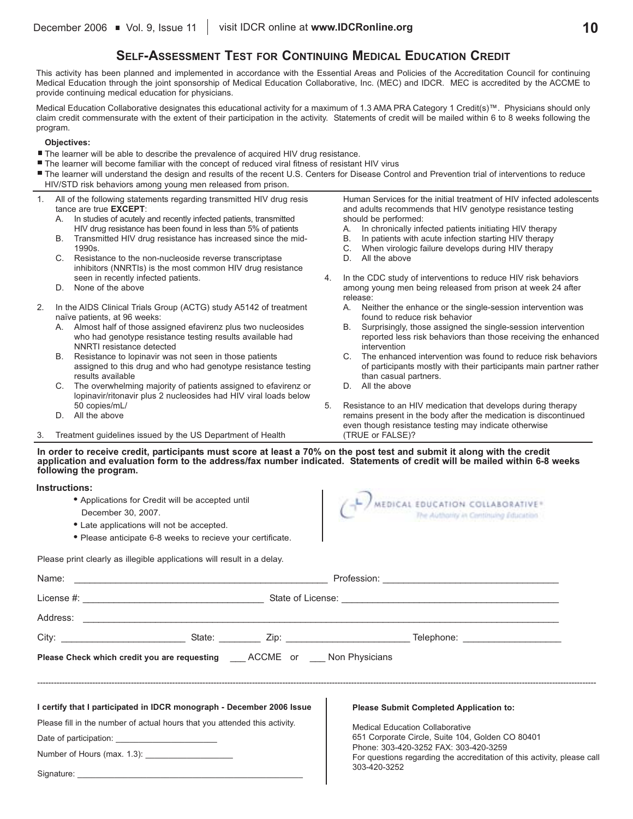### **SELF-ASSESSMENT TEST FOR CONTINUING MEDICAL EDUCATION CREDIT**

This activity has been planned and implemented in accordance with the Essential Areas and Policies of the Accreditation Council for continuing Medical Education through the joint sponsorship of Medical Education Collaborative, Inc. (MEC) and IDCR. MEC is accredited by the ACCME to provide continuing medical education for physicians.

Medical Education Collaborative designates this educational activity for a maximum of 1.3 AMA PRA Category 1 Credit(s)™. Physicians should only claim credit commensurate with the extent of their participation in the activity. Statements of credit will be mailed within 6 to 8 weeks following the program.

#### **Objectives:**

- The learner will be able to describe the prevalence of acquired HIV drug resistance.
- The learner will become familiar with the concept of reduced viral fitness of resistant HIV virus
- The learner will understand the design and results of the recent U.S. Centers for Disease Control and Prevention trial of interventions to reduce HIV/STD risk behaviors among young men released from prison.
- 1. All of the following statements regarding transmitted HIV drug resis tance are true **EXCEPT**:
	- A. In studies of acutely and recently infected patients, transmitted HIV drug resistance has been found in less than 5% of patients
	- B. Transmitted HIV drug resistance has increased since the mid-1990s.
	- C. Resistance to the non-nucleoside reverse transcriptase inhibitors (NNRTIs) is the most common HIV drug resistance seen in recently infected patients.
	- D. None of the above
- 2. In the AIDS Clinical Trials Group (ACTG) study A5142 of treatment naïve patients, at 96 weeks:
	- A. Almost half of those assigned efavirenz plus two nucleosides who had genotype resistance testing results available had NNRTI resistance detected
	- B. Resistance to lopinavir was not seen in those patients assigned to this drug and who had genotype resistance testing results available
	- C. The overwhelming majority of patients assigned to efavirenz or lopinavir/ritonavir plus 2 nucleosides had HIV viral loads below 50 copies/mL/
	- D. All the above
- 3. Treatment guidelines issued by the US Department of Health

Human Services for the initial treatment of HIV infected adolescents and adults recommends that HIV genotype resistance testing should be performed:

- A. In chronically infected patients initiating HIV therapy<br>B. In patients with acute infection starting HIV therapy
- In patients with acute infection starting HIV therapy
- C. When virologic failure develops during HIV therapy
- D. All the above
- 4. In the CDC study of interventions to reduce HIV risk behaviors among young men being released from prison at week 24 after release:
	- A. Neither the enhance or the single-session intervention was found to reduce risk behavior
	- B. Surprisingly, those assigned the single-session intervention reported less risk behaviors than those receiving the enhanced intervention
	- C. The enhanced intervention was found to reduce risk behaviors of participants mostly with their participants main partner rather than casual partners.
	- D. All the above
- 5. Resistance to an HIV medication that develops during therapy remains present in the body after the medication is discontinued even though resistance testing may indicate otherwise (TRUE or FALSE)?

**In order to receive credit, participants must score at least a 70% on the post test and submit it along with the credit application and evaluation form to the address/fax number indicated. Statements of credit will be mailed within 6-8 weeks following the program.**

#### **Instructions:**

Signature:

- **•** Applications for Credit will be accepted until
- December 30, 2007.
- **•** Late applications will not be accepted.
- **•** Please anticipate 6-8 weeks to recieve your certificate.

Please print clearly as illegible applications will result in a delay.

|  | MEDICAL EDUCATION COLLABORATIVE®      |
|--|---------------------------------------|
|  | The Authority in Continuing Education |
|  |                                       |
|  |                                       |

|  | Please Check which credit you are requesting ____ ACCME or Non Physicians  |  |                                                                                                                                  |  |  |  |
|--|----------------------------------------------------------------------------|--|----------------------------------------------------------------------------------------------------------------------------------|--|--|--|
|  |                                                                            |  |                                                                                                                                  |  |  |  |
|  | I certify that I participated in IDCR monograph - December 2006 Issue      |  | <b>Please Submit Completed Application to:</b>                                                                                   |  |  |  |
|  | Please fill in the number of actual hours that you attended this activity. |  | <b>Medical Education Collaborative</b>                                                                                           |  |  |  |
|  |                                                                            |  | 651 Corporate Circle, Suite 104, Golden CO 80401                                                                                 |  |  |  |
|  |                                                                            |  | Phone: 303-420-3252 FAX: 303-420-3259<br>For questions regarding the accreditation of this activity, please call<br>303-420-3252 |  |  |  |